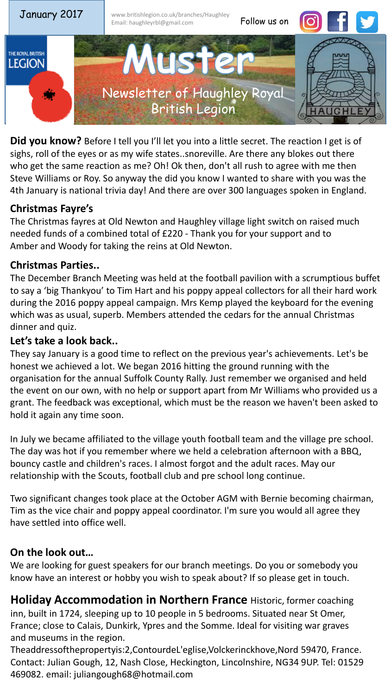

**Did you know?** Before I tell you I'll let you into a little secret. The reaction I get is of sighs, roll of the eyes or as my wife states..snoreville. Are there any blokes out there who get the same reaction as me? Oh! Ok then, don't all rush to agree with me then Steve Williams or Roy. So anyway the did you know I wanted to share with you was the 4th January is national trivia day! And there are over 300 languages spoken in England.

## **Christmas Fayre's**

The Christmas fayres at Old Newton and Haughley village light switch on raised much needed funds of a combined total of £220 - Thank you for your support and to Amber and Woody for taking the reins at Old Newton.

## **Christmas Parties..**

The December Branch Meeting was held at the football pavilion with a scrumptious buffet to say a 'big Thankyou' to Tim Hart and his poppy appeal collectors for all their hard work during the 2016 poppy appeal campaign. Mrs Kemp played the keyboard for the evening which was as usual, superb. Members attended the cedars for the annual Christmas dinner and quiz.

## **Let's take a look back..**

They say January is a good time to reflect on the previous year's achievements. Let's be honest we achieved a lot. We began 2016 hitting the ground running with the organisation for the annual Suffolk County Rally. Just remember we organised and held the event on our own, with no help or support apart from Mr Williams who provided us a grant. The feedback was exceptional, which must be the reason we haven't been asked to hold it again any time soon.

In July we became affiliated to the village youth football team and the village pre school. The day was hot if you remember where we held a celebration afternoon with a BBQ, bouncy castle and children's races. I almost forgot and the adult races. May our relationship with the Scouts, football club and pre school long continue.

Two significant changes took place at the October AGM with Bernie becoming chairman, Tim as the vice chair and poppy appeal coordinator. I'm sure you would all agree they have settled into office well.

# **On the look out…**

We are looking for guest speakers for our branch meetings. Do you or somebody you know have an interest or hobby you wish to speak about? If so please get in touch.

**Holiday Accommodation in Northern France** Historic, former coaching inn, built in 1724, sleeping up to 10 people in 5 bedrooms. Situated near St Omer, France; close to Calais, Dunkirk, Ypres and the Somme. Ideal for visiting war graves and museums in the region.

Theaddressofthepropertyis:2,ContourdeL'eglise,Volckerinckhove,Nord 59470, France. Contact: Julian Gough, 12, Nash Close, Heckington, Lincolnshire, NG34 9UP. Tel: 01529 469082. email: juliangough68@hotmail.com